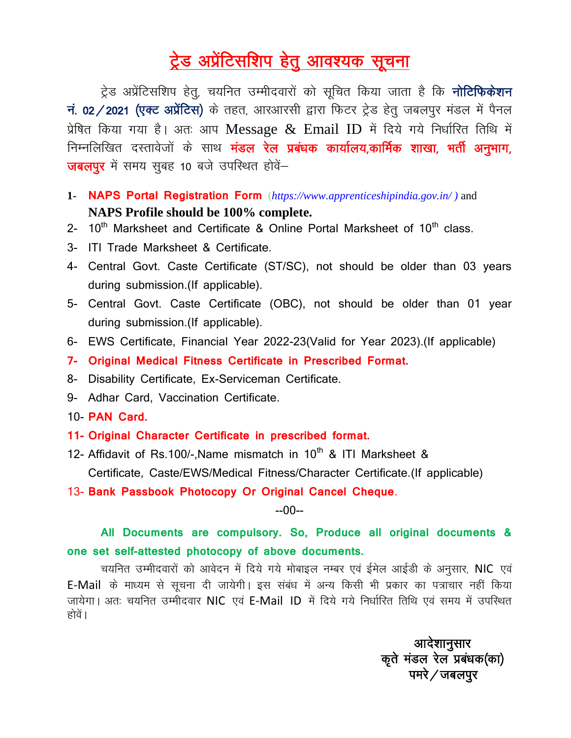## ट्रेड अप्रेंटिसशिप हेतु आवश्यक सूचना

ट्रेड अप्रेंटिसशिप हेतू, चयनित उम्मीदवारों को सूचित किया जाता है कि **नोटिफिकेशन** नं. 02/2021 (एक्ट अप्रेंटिस) के तहत, आरआरसी द्वारा फिटर ट्रेड हेत् जबलपुर मंडल में पैनल प्रेषित किया गया है। अतः आप Message  $\&$  Email ID में दिये गये निर्धारित तिथि में निम्नलिखित दस्तावेजों के साथ **मंडल रेल प्रबंधक कार्यालय,कार्मिक शाखा, भर्ती अनुभाग,**  $\overline{u}$ जबलपुर में समय सुबह 10 बजे उपस्थित होवें-

- **1- NAPS Portal Registration Form** (*[https://www.apprenticeshipindia.gov.in/ \)](https://www.apprenticeshipindia.gov.in/%20)%20and)* and **NAPS Profile should be 100% complete.**
- 2-  $10^{th}$  Marksheet and Certificate & Online Portal Marksheet of  $10^{th}$  class.
- 3- ITI Trade Marksheet & Certificate.
- 4- Central Govt. Caste Certificate (ST/SC), not should be older than 03 years during submission.(If applicable).
- 5- Central Govt. Caste Certificate (OBC), not should be older than 01 year during submission.(If applicable).
- 6- EWS Certificate, Financial Year 2022-23(Valid for Year 2023).(If applicable)
- **7- Original Medical Fitness Certificate in Prescribed Format.**
- 8- Disability Certificate, Ex-Serviceman Certificate.
- 9- Adhar Card, Vaccination Certificate.
- 10- **PAN Card.**
- **11- Original Character Certificate in prescribed format.**
- 12- Affidavit of Rs.100/-, Name mismatch in  $10^{th}$  & ITI Marksheet & Certificate, Caste/EWS/Medical Fitness/Character Certificate.(If applicable)

13- **Bank Passbook Photocopy Or Original Cancel Cheque**.

## --00--

## **All Documents are compulsory. So, Produce all original documents & one set self-attested photocopy of above documents.**

चयनित उम्मीदवारों को आवेदन में दिये गये मोबाइल नम्बर एवं ईमेल आईडी के अनुसार, NIC एवं E-Mail के माध्यम से सूचना दी जायेगी। इस संबंध में अन्य किसी भी प्रकार का पत्राचार नहीं किया जायेगा। अतः चयनित उम्मीदवार NIC एवं E-Mail ID में दिये गये निर्धारित तिथि एवं समय में उपस्थित होवें ।

आदेशानुसार dars e amy grootstelling in the amy grootstelling of the amy grootstelling  $\sigma$  and  $\sigma$  and  $\sigma$  and  $\sigma$  and  $\sigma$  and  $\sigma$  and  $\sigma$  and  $\sigma$  and  $\sigma$  and  $\sigma$  and  $\sigma$  and  $\sigma$  and  $\sigma$  and  $\sigma$  and  $\sigma$  and  $\sigma$  and  $\$  $\mathbf{q} = \mathbf{q} \cdot \mathbf{q}$ ा $\mathbf{q} = \mathbf{q} \cdot \mathbf{q}$ ाव $\mathbf{q} = \mathbf{q} \cdot \mathbf{q}$ राव $\mathbf{q} = \mathbf{q} \cdot \mathbf{q}$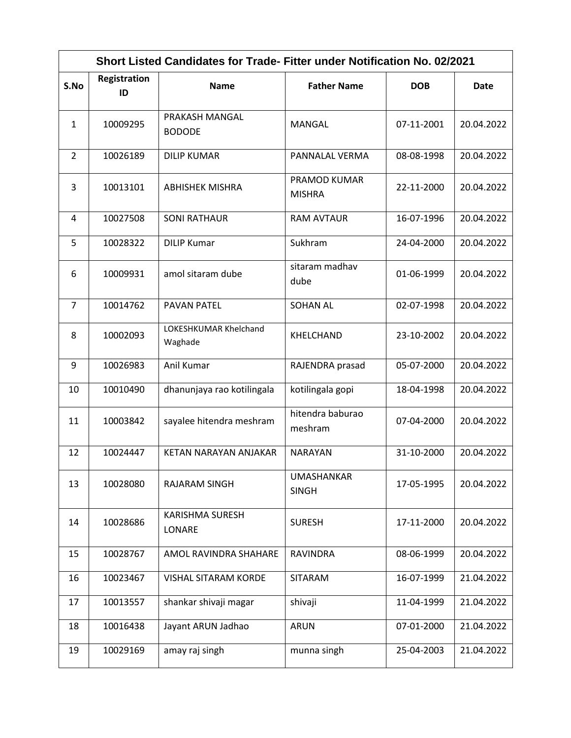| Short Listed Candidates for Trade- Fitter under Notification No. 02/2021 |                    |                                  |                                   |            |             |  |
|--------------------------------------------------------------------------|--------------------|----------------------------------|-----------------------------------|------------|-------------|--|
| S.No                                                                     | Registration<br>ID | <b>Name</b>                      | <b>Father Name</b>                | <b>DOB</b> | <b>Date</b> |  |
| $\mathbf{1}$                                                             | 10009295           | PRAKASH MANGAL<br><b>BODODE</b>  | MANGAL                            | 07-11-2001 | 20.04.2022  |  |
| 2                                                                        | 10026189           | <b>DILIP KUMAR</b>               | PANNALAL VERMA                    | 08-08-1998 | 20.04.2022  |  |
| 3                                                                        | 10013101           | <b>ABHISHEK MISHRA</b>           | PRAMOD KUMAR<br><b>MISHRA</b>     | 22-11-2000 | 20.04.2022  |  |
| 4                                                                        | 10027508           | <b>SONI RATHAUR</b>              | <b>RAM AVTAUR</b>                 | 16-07-1996 | 20.04.2022  |  |
| 5                                                                        | 10028322           | <b>DILIP Kumar</b>               | Sukhram                           | 24-04-2000 | 20.04.2022  |  |
| 6                                                                        | 10009931           | amol sitaram dube                | sitaram madhav<br>dube            | 01-06-1999 | 20.04.2022  |  |
| 7                                                                        | 10014762           | <b>PAVAN PATEL</b>               | <b>SOHAN AL</b>                   | 02-07-1998 | 20.04.2022  |  |
| 8                                                                        | 10002093           | LOKESHKUMAR Khelchand<br>Waghade | KHELCHAND                         | 23-10-2002 | 20.04.2022  |  |
| 9                                                                        | 10026983           | Anil Kumar                       | RAJENDRA prasad                   | 05-07-2000 | 20.04.2022  |  |
| 10                                                                       | 10010490           | dhanunjaya rao kotilingala       | kotilingala gopi                  | 18-04-1998 | 20.04.2022  |  |
| 11                                                                       | 10003842           | sayalee hitendra meshram         | hitendra baburao<br>meshram       | 07-04-2000 | 20.04.2022  |  |
| 12                                                                       | 10024447           | KETAN NARAYAN ANJAKAR            | <b>NARAYAN</b>                    | 31-10-2000 | 20.04.2022  |  |
| 13                                                                       | 10028080           | <b>RAJARAM SINGH</b>             | <b>UMASHANKAR</b><br><b>SINGH</b> | 17-05-1995 | 20.04.2022  |  |
| 14                                                                       | 10028686           | <b>KARISHMA SURESH</b><br>LONARE | <b>SURESH</b>                     | 17-11-2000 | 20.04.2022  |  |
| 15                                                                       | 10028767           | AMOL RAVINDRA SHAHARE            | <b>RAVINDRA</b>                   | 08-06-1999 | 20.04.2022  |  |
| 16                                                                       | 10023467           | <b>VISHAL SITARAM KORDE</b>      | <b>SITARAM</b>                    | 16-07-1999 | 21.04.2022  |  |
| 17                                                                       | 10013557           | shankar shivaji magar            | shivaji                           | 11-04-1999 | 21.04.2022  |  |
| 18                                                                       | 10016438           | Jayant ARUN Jadhao               | <b>ARUN</b>                       | 07-01-2000 | 21.04.2022  |  |
| 19                                                                       | 10029169           | amay raj singh                   | munna singh                       | 25-04-2003 | 21.04.2022  |  |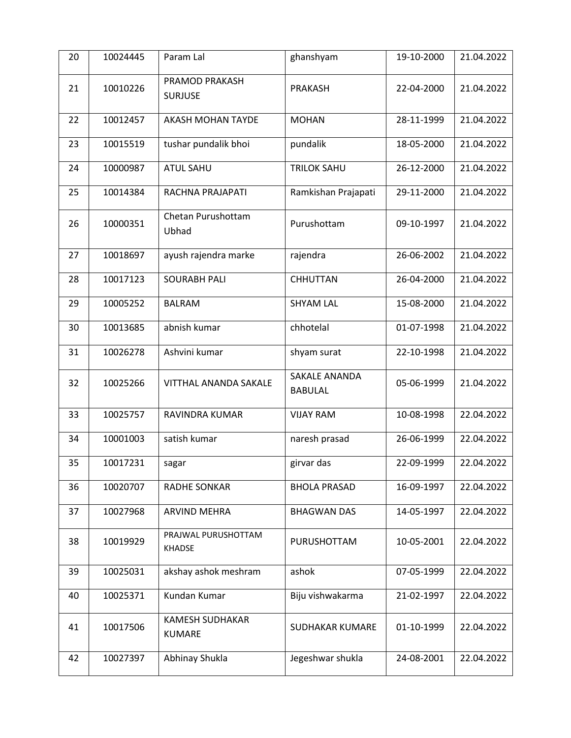| 20 | 10024445 | Param Lal                               | ghanshyam                       | 19-10-2000 | 21.04.2022 |
|----|----------|-----------------------------------------|---------------------------------|------------|------------|
| 21 | 10010226 | PRAMOD PRAKASH<br><b>SURJUSE</b>        | PRAKASH                         | 22-04-2000 | 21.04.2022 |
| 22 | 10012457 | <b>AKASH MOHAN TAYDE</b>                | <b>MOHAN</b>                    | 28-11-1999 | 21.04.2022 |
| 23 | 10015519 | tushar pundalik bhoi                    | pundalik                        | 18-05-2000 | 21.04.2022 |
| 24 | 10000987 | <b>ATUL SAHU</b>                        | <b>TRILOK SAHU</b>              | 26-12-2000 | 21.04.2022 |
| 25 | 10014384 | RACHNA PRAJAPATI                        | Ramkishan Prajapati             | 29-11-2000 | 21.04.2022 |
| 26 | 10000351 | Chetan Purushottam<br>Ubhad             | Purushottam                     | 09-10-1997 | 21.04.2022 |
| 27 | 10018697 | ayush rajendra marke                    | rajendra                        | 26-06-2002 | 21.04.2022 |
| 28 | 10017123 | <b>SOURABH PALI</b>                     | <b>CHHUTTAN</b>                 | 26-04-2000 | 21.04.2022 |
| 29 | 10005252 | <b>BALRAM</b>                           | <b>SHYAM LAL</b>                | 15-08-2000 | 21.04.2022 |
| 30 | 10013685 | abnish kumar                            | chhotelal                       | 01-07-1998 | 21.04.2022 |
| 31 | 10026278 | Ashvini kumar                           | shyam surat                     | 22-10-1998 | 21.04.2022 |
| 32 | 10025266 | VITTHAL ANANDA SAKALE                   | SAKALE ANANDA<br><b>BABULAL</b> | 05-06-1999 | 21.04.2022 |
| 33 | 10025757 | RAVINDRA KUMAR                          | <b>VIJAY RAM</b>                | 10-08-1998 | 22.04.2022 |
| 34 | 10001003 | satish kumar                            | naresh prasad                   | 26-06-1999 | 22.04.2022 |
| 35 | 10017231 | sagar                                   | girvar das                      | 22-09-1999 | 22.04.2022 |
| 36 | 10020707 | RADHE SONKAR                            | <b>BHOLA PRASAD</b>             | 16-09-1997 | 22.04.2022 |
| 37 | 10027968 | <b>ARVIND MEHRA</b>                     | <b>BHAGWAN DAS</b>              | 14-05-1997 | 22.04.2022 |
| 38 | 10019929 | PRAJWAL PURUSHOTTAM<br><b>KHADSE</b>    | PURUSHOTTAM                     | 10-05-2001 | 22.04.2022 |
| 39 | 10025031 | akshay ashok meshram                    | ashok                           | 07-05-1999 | 22.04.2022 |
| 40 | 10025371 | Kundan Kumar                            | Biju vishwakarma                | 21-02-1997 | 22.04.2022 |
| 41 | 10017506 | <b>KAMESH SUDHAKAR</b><br><b>KUMARE</b> | SUDHAKAR KUMARE                 | 01-10-1999 | 22.04.2022 |
| 42 | 10027397 | Abhinay Shukla                          | Jegeshwar shukla                | 24-08-2001 | 22.04.2022 |